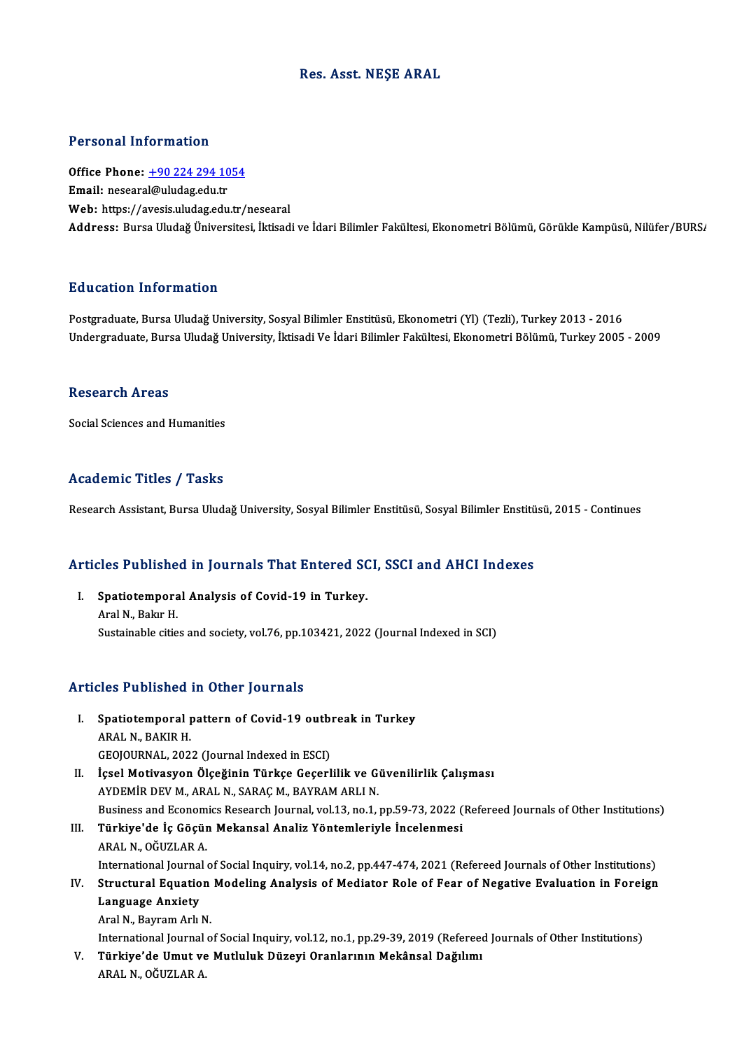### Res. Asst.NEŞE ARAL

#### Personal Information

Personal Information<br>Office Phone: <u>+90 224 294 1054</u><br>Email: necessel@uludes.edu.tr Processing information<br>Office Phone: <u>+90 224 294 10</u><br>Email: neseara[l@uludag.edu.tr](tel:+90 224 294 1054) Email: nesearal@uludag.edu.tr<br>Web: https://avesis.uludag.edu.tr/nesearal Address: Bursa Uludağ Üniversitesi, İktisadi ve İdari Bilimler Fakültesi, Ekonometri Bölümü, Görükle Kampüsü, Nilüfer/BURS/

### Education Information

Postgraduate, Bursa Uludağ University, Sosyal Bilimler Enstitüsü, Ekonometri (Yl) (Tezli), Turkey 2013 - 2016 Undergraduate, Bursa Uludağ University, İktisadi Ve İdari Bilimler Fakültesi, Ekonometri Bölümü, Turkey 2005 - 2009

#### Research Areas

Social Sciences and Humanities

### Academic Titles / Tasks

Research Assistant, Bursa Uludağ University, Sosyal Bilimler Enstitüsü, Sosyal Bilimler Enstitüsü, 2015 - Continues

# Research Assistant, bursa Uludag University, Sosyal Blilmer Ensutusu, Sosyal Blilmer Ensutu<br>Articles Published in Journals That Entered SCI, SSCI and AHCI Indexes

rticles Published in Journals That Entered SO<br>I. Spatiotemporal Analysis of Covid-19 in Turkey. I. Spatiotemporal Analysis of Covid-19 in Turkey.<br>Aral N., Bakır H. Sustainable cities and society, vol.76, pp.103421, 2022 (Journal Indexed in SCI)

### Articles Published in Other Journals

- rticles Published in Other Journals<br>I. Spatiotemporal pattern of Covid-19 outbreak in Turkey ARAL N<br>Spatiotemporal <sub>I</sub><br>ARAL N., BAKIR H.<br>CEOLOUPNAL 202 Spatiotemporal pattern of Covid-19 outbin<br>ARAL N., BAKIR H.<br>GEOJOURNAL, 2022 (Journal Indexed in ESCI)<br>Issel Metivesyon Ölseğinin Türkse Coserl ARAL N., BAKIR H.<br>GEOJOURNAL, 2022 (Journal Indexed in ESCI)<br>II. İçsel Motivasyon Ölçeğinin Türkçe Geçerlilik ve Güvenilirlik Çalışması<br>AYDEMİR DEV M. ARAL N. SARAC M. RAYRAM ARLLN GEOJOURNAL, 2022 (Journal Indexed in ESCI)<br>İçsel Motivasyon Ölçeğinin Türkçe Geçerlilik ve G<br>AYDEMİR DEV M., ARAL N., SARAÇ M., BAYRAM ARLI N.<br>Pusiness and Esenemiss Besearsh Journal vel 13, ne 1 : İçsel Motivasyon Ölçeğinin Türkçe Geçerlilik ve Güvenilirlik Çalışması<br>AYDEMİR DEV M., ARAL N., SARAÇ M., BAYRAM ARLI N.<br>Business and Economics Research Journal, vol.13, no.1, pp.59-73, 2022 (Refereed Journals of Other Ins
- AYDEMİR DEV M., ARAL N., SARAÇ M., BAYRAM ARLI N.<br>Business and Economics Research Journal, vol.13, no.1, pp.59-73, 2022 (<br>III. Türkiye'de İç Göçün Mekansal Analiz Yöntemleriyle İncelenmesi<br>ARAL N. QĞUZLAR A
- Business and Econom<br>Türkiye'de İç Göçür<br>ARAL N., OĞUZLAR A.<br>International Journal Türkiye'de İç Göçün Mekansal Analiz Yöntemleriyle İncelenmesi<br>ARAL N., OĞUZLAR A.<br>International Journal of Social Inquiry, vol.14, no.2, pp.447-474, 2021 (Refereed Journals of Other Institutions)<br>Structural Foustion Modeli ARAL N., OĞUZLAR A.<br>International Journal of Social Inquiry, vol.14, no.2, pp.447-474, 2021 (Refereed Journals of Other Institutions)<br>IV. Structural Equation Modeling Analysis of Mediator Role of Fear of Negative Evalu
- International Journal<br>Structural Equatio<br>Language Anxiety<br>Aral N. Pouram Arh IV. Structural Equation Modeling Analysis of Mediator Role of Fear of Negative Evaluation in Foreign<br>Language Anxiety<br>Aral N., Bayram Arlı N.

International Journal of Social Inquiry, vol.12, no.1, pp.29-39, 2019 (Refereed Journals of Other Institutions)

V. Türkiye'de Umut ve Mutluluk Düzeyi Oranlarının Mekânsal Dağılımı ARALN.,OĞUZLARA.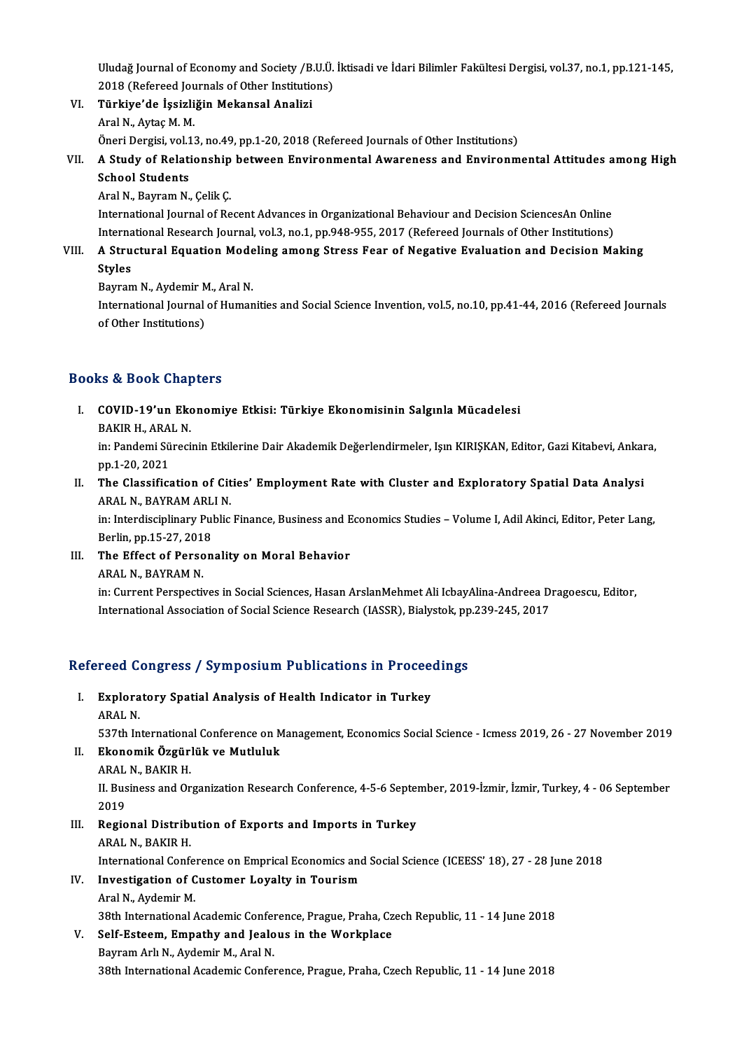Uludağ Journal of Economy and Society /B.U.Ü. İktisadi ve İdari Bilimler Fakültesi Dergisi, vol.37, no.1, pp.121-145,<br>2018 (Refereed Journale of Other Institutions) Uludağ Journal of Economy and Society /B.U.Ü.<br>2018 (Refereed Journals of Other Institutions)<br>Türkiye'de İssirliğin Mekansal Analisi 2018 (Refereed Journals of Other Institutions)

VI. Türkiye'de İşsizliğin Mekansal Analizi<br>Aral N., Aytaç M. M.

Türkiye'de İşsizliğin Mekansal Analizi<br>Aral N., Aytaç M. M.<br>Öneri Dergisi, vol.13, no.49, pp.1-20, 2018 (Refereed Journals of Other Institutions)<br>A. Study of Belationship between Environmental Awareness and Environm

## Aral N., Aytaç M. M.<br>Öneri Dergisi, vol.13, no.49, pp.1-20, 2018 (Refereed Journals of Other Institutions)<br>VII. A Study of Relationship between Environmental Awareness and Environmental Attitudes among High<br>School Stud Öneri Dergisi, vol.1<br>A Study of Relati<br>School Students<br>Arel N. Peyram N. A Study of Relationship<br>School Students<br>Aral N., Bayram N., Çelik Ç.<br>International Journal of Bo School Students<br>Aral N., Bayram N., Çelik Ç.<br>International Journal of Recent Advances in Organizational Behaviour and Decision SciencesAn Online

Aral N., Bayram N., Çelik Ç.<br>International Journal of Recent Advances in Organizational Behaviour and Decision SciencesAn Online<br>International Research Journal, vol.3, no.1, pp.948-955, 2017 (Refereed Journals of Other Ins International Journal of Recent Advances in Organizational Behaviour and Decision SciencesAn Online<br>International Research Journal, vol.3, no.1, pp.948-955, 2017 (Refereed Journals of Other Institutions)<br>VIII. A Structural

## Interna<br>A Stru<br>Styles<br><sup>Rovron</sub></sup> A Structural Equation Mode<br>Styles<br>Bayram N., Aydemir M., Aral N.<br>International Iournal of Humer

Styles<br>Bayram N., Aydemir M., Aral N.<br>International Journal of Humanities and Social Science Invention, vol.5, no.10, pp.41-44, 2016 (Refereed Journals<br>of Other Institutione) Bayram N., Aydemir M<br>International Journal<br>of Other Institutions)

## of Other Institutions)<br>Books & Book Chapters

## OOks & Book Chapters<br>I. COVID-19'un Ekonomiye Etkisi: Türkiye Ekonomisinin Salgınla Mücadelesi<br>RAKIR H. ARAL N nd 2001 Unit<br>COVID-19'un Eko<br>BAKIR H., ARAL N.

COVID-19'un Ekonomiye Etkisi: Türkiye Ekonomisinin Salgınla Mücadelesi<br>BAKIR H., ARAL N.<br>in: Pandemi Sürecinin Etkilerine Dair Akademik Değerlendirmeler, Işın KIRIŞKAN, Editor, Gazi Kitabevi, Ankara,<br>nn 1 20 2021 BAKIR H., ARA<br>in: Pandemi Sü<br>pp.1-20, 2021<br>The Classifics In: Pandemi Sürecinin Etkilerine Dair Akademik Değerlendirmeler, Işın KIRIŞKAN, Editor, Gazi Kitabevi, Ankar<br>pp.1-20, 2021<br>II. The Classification of Cities' Employment Rate with Cluster and Exploratory Spatial Data Analysi

## pp.1-20, 2021<br>The Classification of Cit<br>ARAL N., BAYRAM ARLI N.<br>in: Interdissiplinery Public The Classification of Cities' Employment Rate with Cluster and Exploratory Spatial Data Analysi<br>ARAL N., BAYRAM ARLI N.<br>in: Interdisciplinary Public Finance, Business and Economics Studies – Volume I, Adil Akinci, Editor,

ARAL N., BAYRAM ARLI N.<br>in: Interdisciplinary Public Finance, Business and Economics Studies – Volume I, Adil Akinci, Editor, Peter Lang, Berlin, pp 15-27, 2018

III. The Effect of Personality on Moral Behavior<br>ARAL N., BAYRAM N.

The Effect of Personality on Moral Behavior<br>ARAL N., BAYRAM N.<br>in: Current Perspectives in Social Sciences, Hasan ArslanMehmet Ali IcbayAlina-Andreea Dragoescu, Editor,<br>International Association of Social Science Bessensh ARAL N., BAYRAM N.<br>in: Current Perspectives in Social Sciences, Hasan ArslanMehmet Ali IcbayAlina-Andreea D<br>International Association of Social Science Research (IASSR), Bialystok, pp.239-245, 2017

# International Association or Social Science Research (IASSR), Blalystok, pp<br>Refereed Congress / Symposium Publications in Proceedings

## efereed Congress / Symposium Publications in Procee<br>I. Exploratory Spatial Analysis of Health Indicator in Turkey Exploratory Spatial Analysis of Health Indicator in Turkey<br>ARAL N.

537th International Conference on Management, Economics Social Science - Icmess 2019, 26 - 27 November 2019

ARAL N.<br>537th International Conference on M<br>II. Ekonomik Özgürlük ve Mutluluk<br>ARAL N. BAKIB H 537th Internationa<br>Ekonomik Özgüri<br>ARAL N., BAKIR H.<br>H. Business and Or

ARAL N., BAKIR H.

II. Business and Organization Research Conference, 4-5-6 September, 2019-İzmir, İzmir, Turkey, 4 - 06 September<br>2019 II. Business and Organization Research Conference, 4-5-6 Septer<br>2019<br>III. Regional Distribution of Exports and Imports in Turkey

## 2019<br><mark>Regional Distrib</mark><br>ARAL N., BAKIR H.<br>International Conf

ARAL N., BAKIR H.<br>International Conference on Emprical Economics and Social Science (ICEESS' 18), 27 - 28 June 2018

## ARAL N., BAKIR H.<br>International Conference on Emprical Economics and<br>IV. Investigation of Customer Loyalty in Tourism International Confer<br>**Investigation of C**<br>Aral N., Aydemir M.<br><sup>20th</sup> International (

I<mark>nvestigation of Customer Loyalty in Tourism</mark><br>Aral N., Aydemir M.<br>38th International Academic Conference, Prague, Praha, Czech Republic, 11 - 14 June 2018<br>Self Esteem, Empathy and Jesleus in the Werkplese.

## Aral N., Aydemir M.<br>38th International Academic Conference, Prague, Praha, Cz<br>V. Self-Esteem, Empathy and Jealous in the Workplace<br>Bouram Ark N. Aydemir M. Aral N.

38th International Academic Confer<br>Self-Esteem, Empathy and Jealo<br>Bayram Arlı N., Aydemir M., Aral N.<br>29th International Academic Confer V. Self-Esteem, Empathy and Jealous in the Workplace<br>Bayram Arlı N., Aydemir M., Aral N.<br>38th International Academic Conference, Prague, Praha, Czech Republic, 11 - 14 June 2018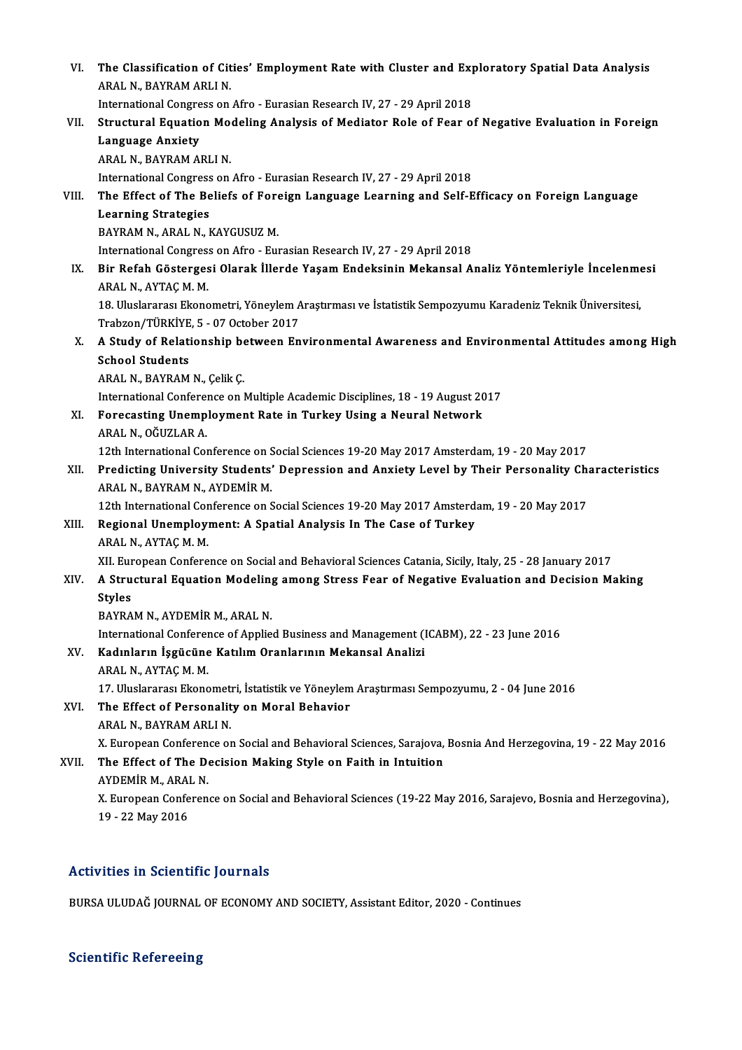| VI.          | The Classification of Cities' Employment Rate with Cluster and Exploratory Spatial Data Analysis                                    |
|--------------|-------------------------------------------------------------------------------------------------------------------------------------|
|              | ARAL N., BAYRAM ARLI N.                                                                                                             |
|              | International Congress on Afro - Eurasian Research IV, 27 - 29 April 2018                                                           |
| VII.         | Structural Equation Modeling Analysis of Mediator Role of Fear of Negative Evaluation in Foreign                                    |
|              | <b>Language Anxiety</b>                                                                                                             |
|              | ARAL N., BAYRAM ARLI N.                                                                                                             |
|              | International Congress on Afro - Eurasian Research IV, 27 - 29 April 2018                                                           |
| VIII.<br>IX. | The Effect of The Beliefs of Foreign Language Learning and Self-Efficacy on Foreign Language                                        |
|              | <b>Learning Strategies</b>                                                                                                          |
|              | BAYRAM N., ARAL N., KAYGUSUZ M.                                                                                                     |
|              | International Congress on Afro - Eurasian Research IV, 27 - 29 April 2018                                                           |
|              | Bir Refah Göstergesi Olarak İllerde Yaşam Endeksinin Mekansal Analiz Yöntemleriyle İncelenmesi<br>ARAL N., AYTAÇ M. M.              |
|              | 18. Uluslararası Ekonometri, Yöneylem Araştırması ve İstatistik Sempozyumu Karadeniz Teknik Üniversitesi,                           |
|              | Trabzon/TÜRKİYE, 5 - 07 October 2017                                                                                                |
| Х.           | A Study of Relationship between Environmental Awareness and Environmental Attitudes among High<br><b>School Students</b>            |
|              | ARAL N., BAYRAM N., Çelik Ç.                                                                                                        |
|              | International Conference on Multiple Academic Disciplines, 18 - 19 August 2017                                                      |
| XI.          | Forecasting Unemployment Rate in Turkey Using a Neural Network                                                                      |
|              | ARAL N., OĞUZLAR A.                                                                                                                 |
|              | 12th International Conference on Social Sciences 19-20 May 2017 Amsterdam, 19 - 20 May 2017                                         |
| XII.         | Predicting University Students' Depression and Anxiety Level by Their Personality Characteristics<br>ARAL N., BAYRAM N., AYDEMİR M. |
|              | 12th International Conference on Social Sciences 19-20 May 2017 Amsterdam, 19 - 20 May 2017                                         |
| XIII.        | Regional Unemployment: A Spatial Analysis In The Case of Turkey                                                                     |
|              | ARAL N, AYTAÇ M M                                                                                                                   |
|              | XII. European Conference on Social and Behavioral Sciences Catania, Sicily, Italy, 25 - 28 January 2017                             |
| XIV.         | A Structural Equation Modeling among Stress Fear of Negative Evaluation and Decision Making                                         |
|              | <b>Styles</b>                                                                                                                       |
|              | BAYRAM N., AYDEMİR M., ARAL N.                                                                                                      |
|              | International Conference of Applied Business and Management (ICABM), 22 - 23 June 2016                                              |
| XV.          | Kadınların İşgücüne Katılım Oranlarının Mekansal Analizi                                                                            |
|              | ARAL N., AYTAÇ M. M.                                                                                                                |
|              | 17. Uluslararası Ekonometri, İstatistik ve Yöneylem Araştırması Sempozyumu, 2 - 04 June 2016                                        |
| XVI.         | The Effect of Personality on Moral Behavior<br>ARAL N., BAYRAM ARLI N.                                                              |
|              | X. European Conference on Social and Behavioral Sciences, Sarajova, Bosnia And Herzegovina, 19 - 22 May 2016                        |
| XVII.        | The Effect of The Decision Making Style on Faith in Intuition<br>AYDEMİR M., ARAL N.                                                |
|              | X. European Conference on Social and Behavioral Sciences (19-22 May 2016, Sarajevo, Bosnia and Herzegovina),                        |
|              | 19 - 22 May 2016                                                                                                                    |
|              |                                                                                                                                     |

## Activities in Scientific Journals

BURSA ULUDAĞ JOURNAL OF ECONOMY AND SOCIETY, Assistant Editor, 2020 - Continues

### **Scientific Refereeing**